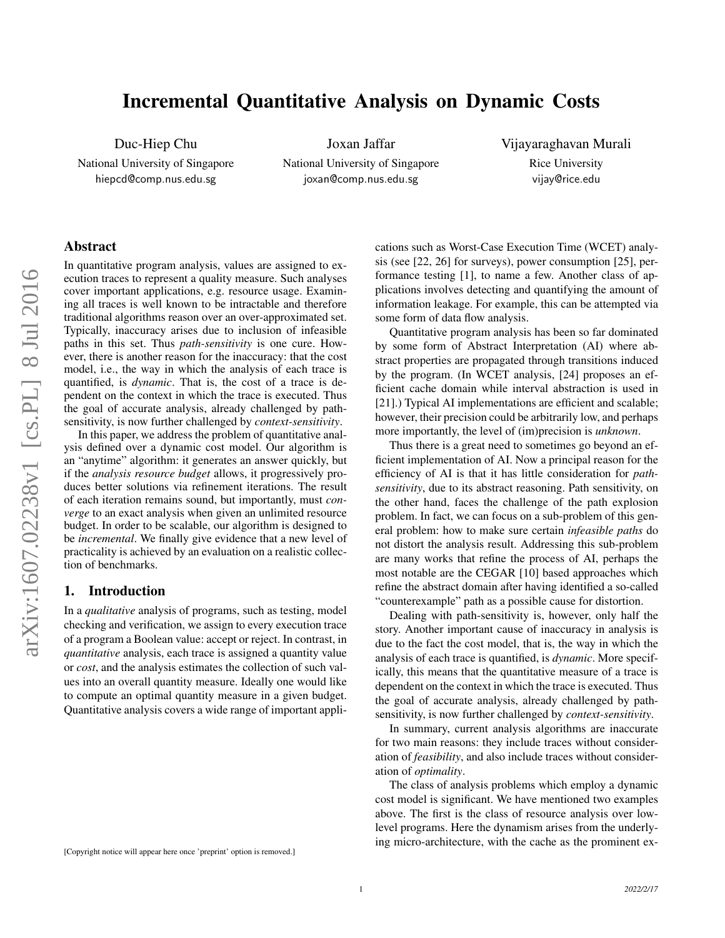# Incremental Quantitative Analysis on Dynamic Costs

Duc-Hiep Chu

National University of Singapore hiepcd@comp.nus.edu.sg

Joxan Jaffar National University of Singapore joxan@comp.nus.edu.sg

Vijayaraghavan Murali Rice University vijay@rice.edu

# Abstract

In quantitative program analysis, values are assigned to execution traces to represent a quality measure. Such analyses cover important applications, e.g. resource usage. Examining all traces is well known to be intractable and therefore traditional algorithms reason over an over-approximated set. Typically, inaccuracy arises due to inclusion of infeasible paths in this set. Thus *path-sensitivity* is one cure. However, there is another reason for the inaccuracy: that the cost model, i.e., the way in which the analysis of each trace is quantified, is *dynamic*. That is, the cost of a trace is dependent on the context in which the trace is executed. Thus the goal of accurate analysis, already challenged by pathsensitivity, is now further challenged by *context-sensitivity*.

In this paper, we address the problem of quantitative analysis defined over a dynamic cost model. Our algorithm is an "anytime" algorithm: it generates an answer quickly, but if the *analysis resource budget* allows, it progressively produces better solutions via refinement iterations. The result of each iteration remains sound, but importantly, must *converge* to an exact analysis when given an unlimited resource budget. In order to be scalable, our algorithm is designed to be *incremental*. We finally give evidence that a new level of practicality is achieved by an evaluation on a realistic collection of benchmarks.

### 1. Introduction

In a *qualitative* analysis of programs, such as testing, model checking and verification, we assign to every execution trace of a program a Boolean value: accept or reject. In contrast, in *quantitative* analysis, each trace is assigned a quantity value or *cost*, and the analysis estimates the collection of such values into an overall quantity measure. Ideally one would like to compute an optimal quantity measure in a given budget. Quantitative analysis covers a wide range of important applications such as Worst-Case Execution Time (WCET) analysis (see [22, 26] for surveys), power consumption [25], performance testing [1], to name a few. Another class of applications involves detecting and quantifying the amount of information leakage. For example, this can be attempted via some form of data flow analysis.

Quantitative program analysis has been so far dominated by some form of Abstract Interpretation (AI) where abstract properties are propagated through transitions induced by the program. (In WCET analysis, [24] proposes an efficient cache domain while interval abstraction is used in [21].) Typical AI implementations are efficient and scalable; however, their precision could be arbitrarily low, and perhaps more importantly, the level of (im)precision is *unknown*.

Thus there is a great need to sometimes go beyond an efficient implementation of AI. Now a principal reason for the efficiency of AI is that it has little consideration for *pathsensitivity*, due to its abstract reasoning. Path sensitivity, on the other hand, faces the challenge of the path explosion problem. In fact, we can focus on a sub-problem of this general problem: how to make sure certain *infeasible paths* do not distort the analysis result. Addressing this sub-problem are many works that refine the process of AI, perhaps the most notable are the CEGAR [10] based approaches which refine the abstract domain after having identified a so-called "counterexample" path as a possible cause for distortion.

Dealing with path-sensitivity is, however, only half the story. Another important cause of inaccuracy in analysis is due to the fact the cost model, that is, the way in which the analysis of each trace is quantified, is *dynamic*. More specifically, this means that the quantitative measure of a trace is dependent on the context in which the trace is executed. Thus the goal of accurate analysis, already challenged by pathsensitivity, is now further challenged by *context-sensitivity*.

In summary, current analysis algorithms are inaccurate for two main reasons: they include traces without consideration of *feasibility*, and also include traces without consideration of *optimality*.

The class of analysis problems which employ a dynamic cost model is significant. We have mentioned two examples above. The first is the class of resource analysis over lowlevel programs. Here the dynamism arises from the underlying micro-architecture, with the cache as the prominent ex-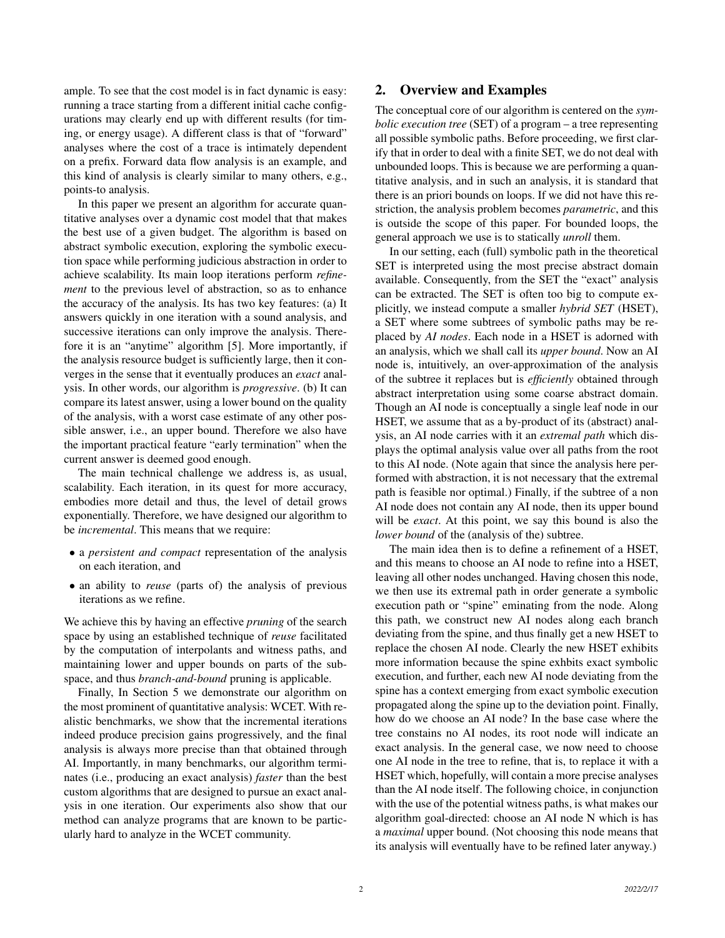ample. To see that the cost model is in fact dynamic is easy: running a trace starting from a different initial cache configurations may clearly end up with different results (for timing, or energy usage). A different class is that of "forward" analyses where the cost of a trace is intimately dependent on a prefix. Forward data flow analysis is an example, and this kind of analysis is clearly similar to many others, e.g., points-to analysis.

In this paper we present an algorithm for accurate quantitative analyses over a dynamic cost model that that makes the best use of a given budget. The algorithm is based on abstract symbolic execution, exploring the symbolic execution space while performing judicious abstraction in order to achieve scalability. Its main loop iterations perform *refinement* to the previous level of abstraction, so as to enhance the accuracy of the analysis. Its has two key features: (a) It answers quickly in one iteration with a sound analysis, and successive iterations can only improve the analysis. Therefore it is an "anytime" algorithm [5]. More importantly, if the analysis resource budget is sufficiently large, then it converges in the sense that it eventually produces an *exact* analysis. In other words, our algorithm is *progressive*. (b) It can compare its latest answer, using a lower bound on the quality of the analysis, with a worst case estimate of any other possible answer, i.e., an upper bound. Therefore we also have the important practical feature "early termination" when the current answer is deemed good enough.

The main technical challenge we address is, as usual, scalability. Each iteration, in its quest for more accuracy, embodies more detail and thus, the level of detail grows exponentially. Therefore, we have designed our algorithm to be *incremental*. This means that we require:

- a *persistent and compact* representation of the analysis on each iteration, and
- an ability to *reuse* (parts of) the analysis of previous iterations as we refine.

We achieve this by having an effective *pruning* of the search space by using an established technique of *reuse* facilitated by the computation of interpolants and witness paths, and maintaining lower and upper bounds on parts of the subspace, and thus *branch-and-bound* pruning is applicable.

Finally, In Section 5 we demonstrate our algorithm on the most prominent of quantitative analysis: WCET. With realistic benchmarks, we show that the incremental iterations indeed produce precision gains progressively, and the final analysis is always more precise than that obtained through AI. Importantly, in many benchmarks, our algorithm terminates (i.e., producing an exact analysis) *faster* than the best custom algorithms that are designed to pursue an exact analysis in one iteration. Our experiments also show that our method can analyze programs that are known to be particularly hard to analyze in the WCET community.

# 2. Overview and Examples

The conceptual core of our algorithm is centered on the *symbolic execution tree* (SET) of a program – a tree representing all possible symbolic paths. Before proceeding, we first clarify that in order to deal with a finite SET, we do not deal with unbounded loops. This is because we are performing a quantitative analysis, and in such an analysis, it is standard that there is an priori bounds on loops. If we did not have this restriction, the analysis problem becomes *parametric*, and this is outside the scope of this paper. For bounded loops, the general approach we use is to statically *unroll* them.

In our setting, each (full) symbolic path in the theoretical SET is interpreted using the most precise abstract domain available. Consequently, from the SET the "exact" analysis can be extracted. The SET is often too big to compute explicitly, we instead compute a smaller *hybrid SET* (HSET), a SET where some subtrees of symbolic paths may be replaced by *AI nodes*. Each node in a HSET is adorned with an analysis, which we shall call its *upper bound*. Now an AI node is, intuitively, an over-approximation of the analysis of the subtree it replaces but is *efficiently* obtained through abstract interpretation using some coarse abstract domain. Though an AI node is conceptually a single leaf node in our HSET, we assume that as a by-product of its (abstract) analysis, an AI node carries with it an *extremal path* which displays the optimal analysis value over all paths from the root to this AI node. (Note again that since the analysis here performed with abstraction, it is not necessary that the extremal path is feasible nor optimal.) Finally, if the subtree of a non AI node does not contain any AI node, then its upper bound will be *exact*. At this point, we say this bound is also the *lower bound* of the (analysis of the) subtree.

The main idea then is to define a refinement of a HSET, and this means to choose an AI node to refine into a HSET, leaving all other nodes unchanged. Having chosen this node, we then use its extremal path in order generate a symbolic execution path or "spine" eminating from the node. Along this path, we construct new AI nodes along each branch deviating from the spine, and thus finally get a new HSET to replace the chosen AI node. Clearly the new HSET exhibits more information because the spine exhbits exact symbolic execution, and further, each new AI node deviating from the spine has a context emerging from exact symbolic execution propagated along the spine up to the deviation point. Finally, how do we choose an AI node? In the base case where the tree constains no AI nodes, its root node will indicate an exact analysis. In the general case, we now need to choose one AI node in the tree to refine, that is, to replace it with a HSET which, hopefully, will contain a more precise analyses than the AI node itself. The following choice, in conjunction with the use of the potential witness paths, is what makes our algorithm goal-directed: choose an AI node N which is has a *maximal* upper bound. (Not choosing this node means that its analysis will eventually have to be refined later anyway.)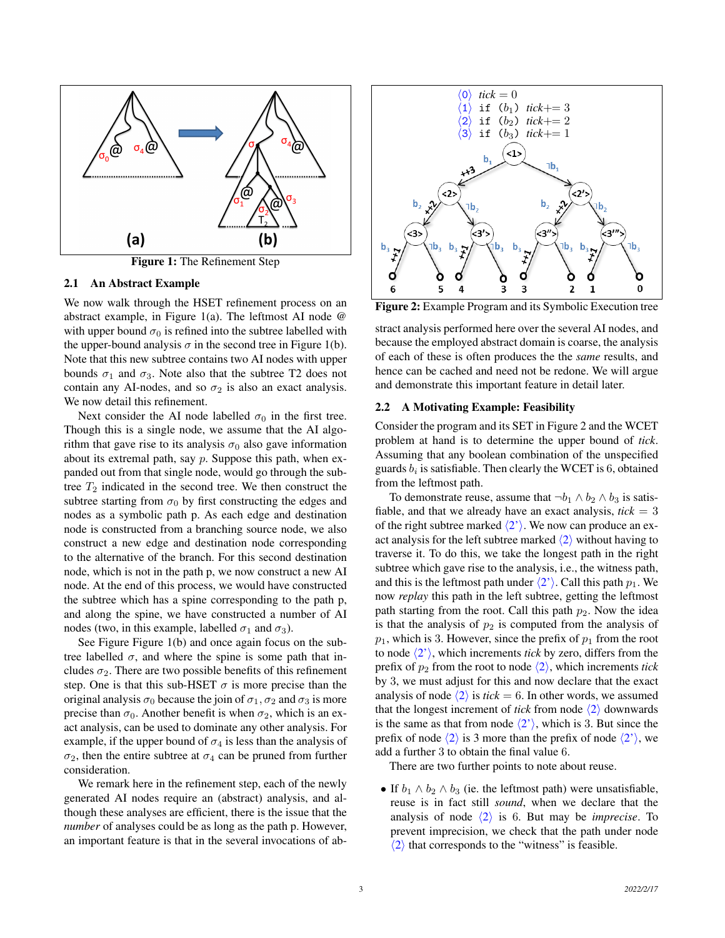

Figure 1: The Refinement Step

#### 2.1 An Abstract Example

We now walk through the HSET refinement process on an abstract example, in Figure 1(a). The leftmost AI node @ with upper bound  $\sigma_0$  is refined into the subtree labelled with the upper-bound analysis  $\sigma$  in the second tree in Figure 1(b). Note that this new subtree contains two AI nodes with upper bounds  $\sigma_1$  and  $\sigma_3$ . Note also that the subtree T2 does not contain any AI-nodes, and so  $\sigma_2$  is also an exact analysis. We now detail this refinement.

Next consider the AI node labelled  $\sigma_0$  in the first tree. Though this is a single node, we assume that the AI algorithm that gave rise to its analysis  $\sigma_0$  also gave information about its extremal path, say p. Suppose this path, when expanded out from that single node, would go through the subtree  $T_2$  indicated in the second tree. We then construct the subtree starting from  $\sigma_0$  by first constructing the edges and nodes as a symbolic path p. As each edge and destination node is constructed from a branching source node, we also construct a new edge and destination node corresponding to the alternative of the branch. For this second destination node, which is not in the path p, we now construct a new AI node. At the end of this process, we would have constructed the subtree which has a spine corresponding to the path p, and along the spine, we have constructed a number of AI nodes (two, in this example, labelled  $\sigma_1$  and  $\sigma_3$ ).

See Figure Figure 1(b) and once again focus on the subtree labelled  $\sigma$ , and where the spine is some path that includes  $\sigma_2$ . There are two possible benefits of this refinement step. One is that this sub-HSET  $\sigma$  is more precise than the original analysis  $\sigma_0$  because the join of  $\sigma_1$ ,  $\sigma_2$  and  $\sigma_3$  is more precise than  $\sigma_0$ . Another benefit is when  $\sigma_2$ , which is an exact analysis, can be used to dominate any other analysis. For example, if the upper bound of  $\sigma_4$  is less than the analysis of  $\sigma_2$ , then the entire subtree at  $\sigma_4$  can be pruned from further consideration.

We remark here in the refinement step, each of the newly generated AI nodes require an (abstract) analysis, and although these analyses are efficient, there is the issue that the *number* of analyses could be as long as the path p. However, an important feature is that in the several invocations of ab-



Figure 2: Example Program and its Symbolic Execution tree

stract analysis performed here over the several AI nodes, and because the employed abstract domain is coarse, the analysis of each of these is often produces the the *same* results, and hence can be cached and need not be redone. We will argue and demonstrate this important feature in detail later.

#### 2.2 A Motivating Example: Feasibility

Consider the program and its SET in Figure 2 and the WCET problem at hand is to determine the upper bound of *tick*. Assuming that any boolean combination of the unspecified guards  $b_i$  is satisfiable. Then clearly the WCET is 6, obtained from the leftmost path.

To demonstrate reuse, assume that  $\neg b_1 \land b_2 \land b_3$  is satisfiable, and that we already have an exact analysis,  $tick = 3$ of the right subtree marked  $\langle 2' \rangle$ . We now can produce an exact analysis for the left subtree marked  $\langle 2 \rangle$  without having to traverse it. To do this, we take the longest path in the right subtree which gave rise to the analysis, i.e., the witness path, and this is the leftmost path under  $\langle 2' \rangle$ . Call this path  $p_1$ . We now *replay* this path in the left subtree, getting the leftmost path starting from the root. Call this path  $p_2$ . Now the idea is that the analysis of  $p_2$  is computed from the analysis of  $p_1$ , which is 3. However, since the prefix of  $p_1$  from the root to node  $\langle 2' \rangle$ , which increments *tick* by zero, differs from the prefix of  $p_2$  from the root to node  $\langle 2 \rangle$ , which increments *tick* by 3, we must adjust for this and now declare that the exact analysis of node  $\langle 2 \rangle$  is *tick* = 6. In other words, we assumed that the longest increment of *tick* from node  $\langle 2 \rangle$  downwards is the same as that from node  $\langle 2' \rangle$ , which is 3. But since the prefix of node  $\langle 2 \rangle$  is 3 more than the prefix of node  $\langle 2' \rangle$ , we add a further 3 to obtain the final value 6.

There are two further points to note about reuse.

• If  $b_1 \wedge b_2 \wedge b_3$  (ie. the leftmost path) were unsatisfiable, reuse is in fact still *sound*, when we declare that the analysis of node  $\langle 2 \rangle$  is 6. But may be *imprecise*. To prevent imprecision, we check that the path under node  $\langle 2 \rangle$  that corresponds to the "witness" is feasible.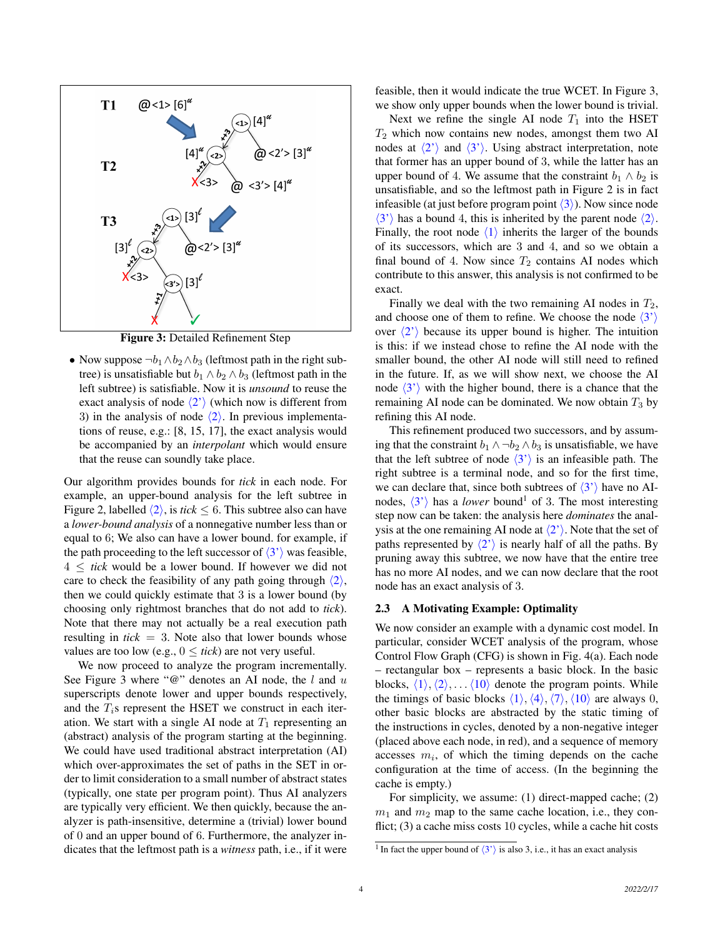

Figure 3: Detailed Refinement Step

• Now suppose  $\neg b_1 \land b_2 \land b_3$  (leftmost path in the right subtree) is unsatisfiable but  $b_1 \wedge b_2 \wedge b_3$  (leftmost path in the left subtree) is satisfiable. Now it is *unsound* to reuse the exact analysis of node  $\langle 2' \rangle$  (which now is different from 3) in the analysis of node  $\langle 2 \rangle$ . In previous implementations of reuse, e.g.: [8, 15, 17], the exact analysis would be accompanied by an *interpolant* which would ensure that the reuse can soundly take place.

Our algorithm provides bounds for *tick* in each node. For example, an upper-bound analysis for the left subtree in Figure 2, labelled  $\langle 2 \rangle$ , is *tick*  $\leq 6$ . This subtree also can have a *lower-bound analysis* of a nonnegative number less than or equal to 6; We also can have a lower bound. for example, if the path proceeding to the left successor of  $\langle 3' \rangle$  was feasible,  $4 \leq$  *tick* would be a lower bound. If however we did not care to check the feasibility of any path going through  $\langle 2 \rangle$ , then we could quickly estimate that 3 is a lower bound (by choosing only rightmost branches that do not add to *tick*). Note that there may not actually be a real execution path resulting in  $tick = 3$ . Note also that lower bounds whose values are too low (e.g.,  $0 \leq tick$ ) are not very useful.

We now proceed to analyze the program incrementally. See Figure 3 where " $@$ " denotes an AI node, the l and u superscripts denote lower and upper bounds respectively, and the  $T_i$ s represent the HSET we construct in each iteration. We start with a single AI node at  $T_1$  representing an (abstract) analysis of the program starting at the beginning. We could have used traditional abstract interpretation (AI) which over-approximates the set of paths in the SET in order to limit consideration to a small number of abstract states (typically, one state per program point). Thus AI analyzers are typically very efficient. We then quickly, because the analyzer is path-insensitive, determine a (trivial) lower bound of 0 and an upper bound of 6. Furthermore, the analyzer indicates that the leftmost path is a *witness* path, i.e., if it were

feasible, then it would indicate the true WCET. In Figure 3, we show only upper bounds when the lower bound is trivial.

Next we refine the single AI node  $T_1$  into the HSET  $T_2$  which now contains new nodes, amongst them two AI nodes at  $\langle 2' \rangle$  and  $\langle 3' \rangle$ . Using abstract interpretation, note that former has an upper bound of 3, while the latter has an upper bound of 4. We assume that the constraint  $b_1 \wedge b_2$  is unsatisfiable, and so the leftmost path in Figure 2 is in fact infeasible (at just before program point  $\langle 3 \rangle$ ). Now since node  $\langle 3' \rangle$  has a bound 4, this is inherited by the parent node  $\langle 2 \rangle$ . Finally, the root node  $\langle 1 \rangle$  inherits the larger of the bounds of its successors, which are 3 and 4, and so we obtain a final bound of 4. Now since  $T_2$  contains AI nodes which contribute to this answer, this analysis is not confirmed to be exact.

Finally we deal with the two remaining AI nodes in  $T_2$ , and choose one of them to refine. We choose the node  $\langle 3' \rangle$ over  $\langle 2' \rangle$  because its upper bound is higher. The intuition is this: if we instead chose to refine the AI node with the smaller bound, the other AI node will still need to refined in the future. If, as we will show next, we choose the AI node  $\langle 3' \rangle$  with the higher bound, there is a chance that the remaining AI node can be dominated. We now obtain  $T_3$  by refining this AI node.

This refinement produced two successors, and by assuming that the constraint  $b_1 \wedge \neg b_2 \wedge b_3$  is unsatisfiable, we have that the left subtree of node  $\langle 3' \rangle$  is an infeasible path. The right subtree is a terminal node, and so for the first time, we can declare that, since both subtrees of  $\langle 3' \rangle$  have no AInodes,  $\langle 3' \rangle$  has a *lower* bound<sup>1</sup> of 3. The most interesting step now can be taken: the analysis here *dominates* the analysis at the one remaining AI node at  $\langle 2' \rangle$ . Note that the set of paths represented by  $\langle 2' \rangle$  is nearly half of all the paths. By pruning away this subtree, we now have that the entire tree has no more AI nodes, and we can now declare that the root node has an exact analysis of 3.

#### 2.3 A Motivating Example: Optimality

We now consider an example with a dynamic cost model. In particular, consider WCET analysis of the program, whose Control Flow Graph (CFG) is shown in Fig. 4(a). Each node – rectangular box – represents a basic block. In the basic blocks,  $\langle 1 \rangle$ ,  $\langle 2 \rangle$ , . . .  $\langle 10 \rangle$  denote the program points. While the timings of basic blocks  $\langle 1 \rangle$ ,  $\langle 4 \rangle$ ,  $\langle 7 \rangle$ ,  $\langle 10 \rangle$  are always 0, other basic blocks are abstracted by the static timing of the instructions in cycles, denoted by a non-negative integer (placed above each node, in red), and a sequence of memory accesses  $m_i$ , of which the timing depends on the cache configuration at the time of access. (In the beginning the cache is empty.)

For simplicity, we assume: (1) direct-mapped cache; (2)  $m_1$  and  $m_2$  map to the same cache location, i.e., they conflict; (3) a cache miss costs 10 cycles, while a cache hit costs

<sup>&</sup>lt;sup>1</sup> In fact the upper bound of  $\langle 3' \rangle$  is also 3, i.e., it has an exact analysis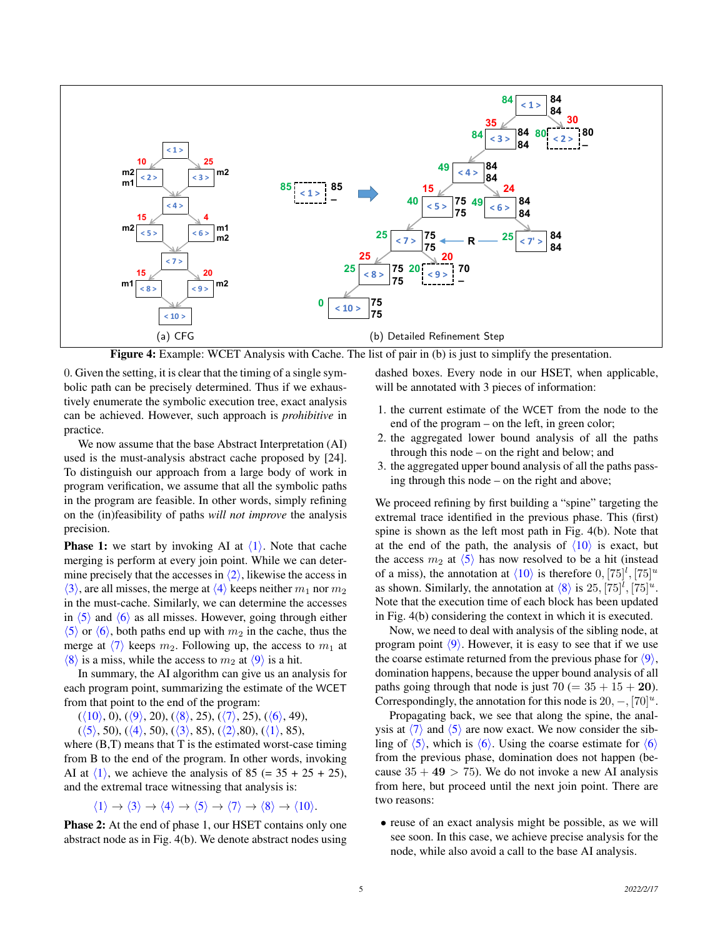

Figure 4: Example: WCET Analysis with Cache. The list of pair in (b) is just to simplify the presentation.

0. Given the setting, it is clear that the timing of a single symbolic path can be precisely determined. Thus if we exhaustively enumerate the symbolic execution tree, exact analysis can be achieved. However, such approach is *prohibitive* in practice.

We now assume that the base Abstract Interpretation (AI) used is the must-analysis abstract cache proposed by [24]. To distinguish our approach from a large body of work in program verification, we assume that all the symbolic paths in the program are feasible. In other words, simply refining on the (in)feasibility of paths *will not improve* the analysis precision.

**Phase 1:** we start by invoking AI at  $\langle 1 \rangle$ . Note that cache merging is perform at every join point. While we can determine precisely that the accesses in  $\langle 2 \rangle$ , likewise the access in  $\langle 3 \rangle$ , are all misses, the merge at  $\langle 4 \rangle$  keeps neither  $m_1$  nor  $m_2$ in the must-cache. Similarly, we can determine the accesses in  $\langle 5 \rangle$  and  $\langle 6 \rangle$  as all misses. However, going through either  $\langle 5 \rangle$  or  $\langle 6 \rangle$ , both paths end up with  $m_2$  in the cache, thus the merge at  $\langle 7 \rangle$  keeps  $m_2$ . Following up, the access to  $m_1$  at  $\langle 8 \rangle$  is a miss, while the access to  $m_2$  at  $\langle 9 \rangle$  is a hit.

In summary, the AI algorithm can give us an analysis for each program point, summarizing the estimate of the WCET from that point to the end of the program:

 $(\langle 10 \rangle, 0), (\langle 9 \rangle, 20), (\langle 8 \rangle, 25), (\langle 7 \rangle, 25), (\langle 6 \rangle, 49),$ 

 $(\langle 5 \rangle, 50), (\langle 4 \rangle, 50), (\langle 3 \rangle, 85), (\langle 2 \rangle, 80), (\langle 1 \rangle, 85),$ 

where  $(B,T)$  means that T is the estimated worst-case timing from B to the end of the program. In other words, invoking AI at  $\langle 1 \rangle$ , we achieve the analysis of 85 (= 35 + 25 + 25), and the extremal trace witnessing that analysis is:

$$
\langle 1 \rangle \to \langle 3 \rangle \to \langle 4 \rangle \to \langle 5 \rangle \to \langle 7 \rangle \to \langle 8 \rangle \to \langle 10 \rangle.
$$

Phase 2: At the end of phase 1, our HSET contains only one abstract node as in Fig. 4(b). We denote abstract nodes using dashed boxes. Every node in our HSET, when applicable, will be annotated with 3 pieces of information:

- 1. the current estimate of the WCET from the node to the end of the program – on the left, in green color;
- 2. the aggregated lower bound analysis of all the paths through this node – on the right and below; and
- 3. the aggregated upper bound analysis of all the paths passing through this node – on the right and above;

We proceed refining by first building a "spine" targeting the extremal trace identified in the previous phase. This (first) spine is shown as the left most path in Fig. 4(b). Note that at the end of the path, the analysis of  $\langle 10 \rangle$  is exact, but the access  $m_2$  at  $\langle 5 \rangle$  has now resolved to be a hit (instead of a miss), the annotation at  $\langle 10 \rangle$  is therefore  $0, [75]^l, [75]^u$ as shown. Similarly, the annotation at  $\langle 8 \rangle$  is 25,  $[75]^l$ ,  $[75]^u$ . Note that the execution time of each block has been updated in Fig. 4(b) considering the context in which it is executed.

Now, we need to deal with analysis of the sibling node, at program point  $\langle 9 \rangle$ . However, it is easy to see that if we use the coarse estimate returned from the previous phase for  $\langle 9 \rangle$ , domination happens, because the upper bound analysis of all paths going through that node is just  $70 (= 35 + 15 + 20)$ . Correspondingly, the annotation for this node is  $20, -, [70]^u$ .

Propagating back, we see that along the spine, the analysis at  $\langle 7 \rangle$  and  $\langle 5 \rangle$  are now exact. We now consider the sibling of  $\langle 5 \rangle$ , which is  $\langle 6 \rangle$ . Using the coarse estimate for  $\langle 6 \rangle$ from the previous phase, domination does not happen (because  $35 + 49 > 75$ . We do not invoke a new AI analysis from here, but proceed until the next join point. There are two reasons:

• reuse of an exact analysis might be possible, as we will see soon. In this case, we achieve precise analysis for the node, while also avoid a call to the base AI analysis.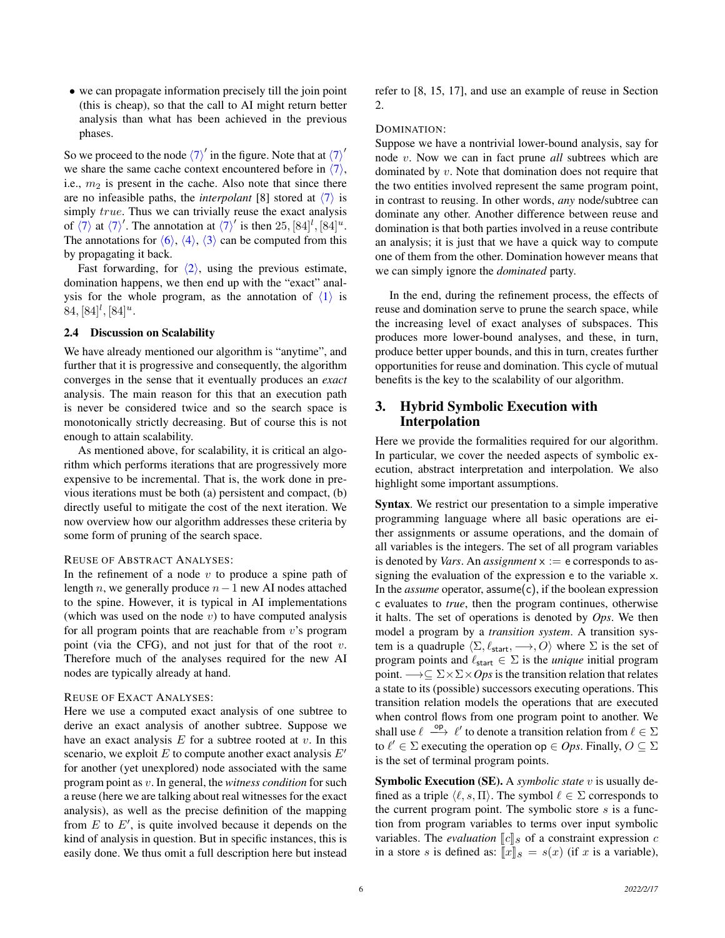• we can propagate information precisely till the join point (this is cheap), so that the call to AI might return better analysis than what has been achieved in the previous phases.

So we proceed to the node  $\langle 7 \rangle'$  in the figure. Note that at  $\langle 7 \rangle'$ we share the same cache context encountered before in  $\langle 7 \rangle$ , i.e.,  $m<sub>2</sub>$  is present in the cache. Also note that since there are no infeasible paths, the *interpolant* [8] stored at  $\langle 7 \rangle$  is simply *true*. Thus we can trivially reuse the exact analysis of  $\langle 7 \rangle$  at  $\langle 7 \rangle'$ . The annotation at  $\langle 7 \rangle'$  is then  $25, [84]^l, [84]^u$ . The annotations for  $\langle 6 \rangle$ ,  $\langle 4 \rangle$ ,  $\langle 3 \rangle$  can be computed from this by propagating it back.

Fast forwarding, for  $\langle 2 \rangle$ , using the previous estimate, domination happens, we then end up with the "exact" analysis for the whole program, as the annotation of  $\langle 1 \rangle$  is  $84, [84]^l, [84]^u.$ 

#### 2.4 Discussion on Scalability

We have already mentioned our algorithm is "anytime", and further that it is progressive and consequently, the algorithm converges in the sense that it eventually produces an *exact* analysis. The main reason for this that an execution path is never be considered twice and so the search space is monotonically strictly decreasing. But of course this is not enough to attain scalability.

As mentioned above, for scalability, it is critical an algorithm which performs iterations that are progressively more expensive to be incremental. That is, the work done in previous iterations must be both (a) persistent and compact, (b) directly useful to mitigate the cost of the next iteration. We now overview how our algorithm addresses these criteria by some form of pruning of the search space.

#### REUSE OF ABSTRACT ANALYSES:

In the refinement of a node  $v$  to produce a spine path of length *n*, we generally produce  $n-1$  new AI nodes attached to the spine. However, it is typical in AI implementations (which was used on the node  $v$ ) to have computed analysis for all program points that are reachable from  $v$ 's program point (via the CFG), and not just for that of the root  $v$ . Therefore much of the analyses required for the new AI nodes are typically already at hand.

### REUSE OF EXACT ANALYSES:

Here we use a computed exact analysis of one subtree to derive an exact analysis of another subtree. Suppose we have an exact analysis  $E$  for a subtree rooted at  $v$ . In this scenario, we exploit  $E$  to compute another exact analysis  $E'$ for another (yet unexplored) node associated with the same program point as v. In general, the *witness condition* for such a reuse (here we are talking about real witnesses for the exact analysis), as well as the precise definition of the mapping from  $E$  to  $E'$ , is quite involved because it depends on the kind of analysis in question. But in specific instances, this is easily done. We thus omit a full description here but instead

refer to [8, 15, 17], and use an example of reuse in Section 2.

#### DOMINATION:

Suppose we have a nontrivial lower-bound analysis, say for node v. Now we can in fact prune *all* subtrees which are dominated by v. Note that domination does not require that the two entities involved represent the same program point, in contrast to reusing. In other words, *any* node/subtree can dominate any other. Another difference between reuse and domination is that both parties involved in a reuse contribute an analysis; it is just that we have a quick way to compute one of them from the other. Domination however means that we can simply ignore the *dominated* party.

In the end, during the refinement process, the effects of reuse and domination serve to prune the search space, while the increasing level of exact analyses of subspaces. This produces more lower-bound analyses, and these, in turn, produce better upper bounds, and this in turn, creates further opportunities for reuse and domination. This cycle of mutual benefits is the key to the scalability of our algorithm.

## 3. Hybrid Symbolic Execution with Interpolation

Here we provide the formalities required for our algorithm. In particular, we cover the needed aspects of symbolic execution, abstract interpretation and interpolation. We also highlight some important assumptions.

Syntax. We restrict our presentation to a simple imperative programming language where all basic operations are either assignments or assume operations, and the domain of all variables is the integers. The set of all program variables is denoted by *Vars*. An *assignment*  $x := e$  corresponds to assigning the evaluation of the expression e to the variable x. In the *assume* operator, assume(c), if the boolean expression c evaluates to *true*, then the program continues, otherwise it halts. The set of operations is denoted by *Ops*. We then model a program by a *transition system*. A transition system is a quadruple  $\langle \Sigma, \ell_{\text{start}}, \longrightarrow, O \rangle$  where  $\Sigma$  is the set of program points and  $\ell_{\text{start}} \in \Sigma$  is the *unique* initial program point.  $\rightarrow \subseteq \Sigma \times \Sigma \times Ops$  is the transition relation that relates a state to its (possible) successors executing operations. This transition relation models the operations that are executed when control flows from one program point to another. We shall use  $\ell \stackrel{\text{op}}{\longrightarrow} \ell'$  to denote a transition relation from  $\ell \in \Sigma$ to  $\ell' \in \Sigma$  executing the operation op  $\in Ops$ . Finally,  $O \subseteq \Sigma$ is the set of terminal program points.

Symbolic Execution (SE). A *symbolic state* v is usually defined as a triple  $\langle \ell, s, \Pi \rangle$ . The symbol  $\ell \in \Sigma$  corresponds to the current program point. The symbolic store  $s$  is a function from program variables to terms over input symbolic variables. The *evaluation*  $\llbracket c \rrbracket_s$  of a constraint expression c in a store s is defined as:  $\llbracket x \rrbracket_s = s(x)$  (if x is a variable),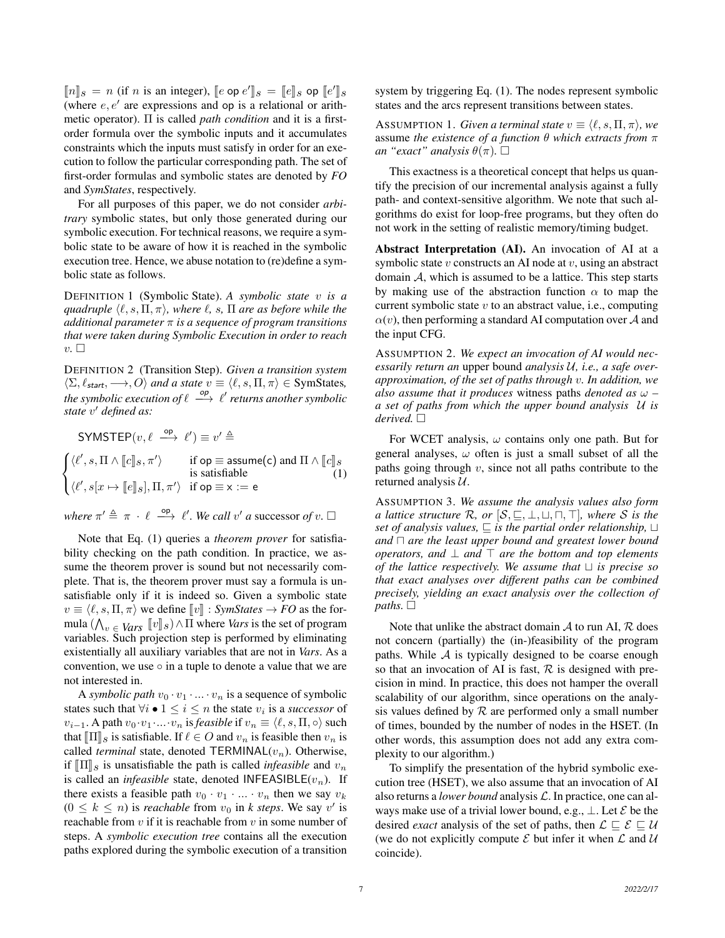$[\![n]\!]_S = n$  (if n is an integer),  $[\![e \text{ op } e']\!]_S = [\![e]\!]_S$  op  $[\![e']\!]_S$ <br>(where e c' are expressions and on is a relational or exit) (where  $e, e'$  are expressions and op is a relational or arithmetic operator). Π is called *path condition* and it is a firstorder formula over the symbolic inputs and it accumulates constraints which the inputs must satisfy in order for an execution to follow the particular corresponding path. The set of first-order formulas and symbolic states are denoted by *FO* and *SymStates*, respectively.

For all purposes of this paper, we do not consider *arbitrary* symbolic states, but only those generated during our symbolic execution. For technical reasons, we require a symbolic state to be aware of how it is reached in the symbolic execution tree. Hence, we abuse notation to (re)define a symbolic state as follows.

DEFINITION 1 (Symbolic State). *A symbolic state* v *is a quadruple*  $\langle \ell, s, \Pi, \pi \rangle$ , where  $\ell, s, \Pi$  are as before while the *additional parameter* π *is a sequence of program transitions that were taken during Symbolic Execution in order to reach*  $v \n\cdot \Box$ 

DEFINITION 2 (Transition Step). *Given a transition system*  $\langle \Sigma, \ell_{\text{start}}, \longrightarrow, O \rangle$  *and a state*  $v \equiv \langle \ell, s, \Pi, \pi \rangle \in \text{SymStates}$ , *the symbolic execution of*  $\ell \stackrel{op}{\longrightarrow} \ell'$  *returns another symbolic* state v' defined as:

SYMSTEP $(v, \ell \stackrel{\mathsf{op}}{\longrightarrow} \ell') \equiv v' \stackrel{\Delta}{=}$  $\sqrt{ }$ J  $\mathcal{L}$  $\langle \ell', s, \Pi \wedge [\![c]\!]_s, \pi' \rangle$  if op  $\equiv$  assume(c) and  $\Pi \wedge [\![c]\!]_s$ <br>is satisfiable (1  $\langle \ell', s[x \mapsto [\![ e ]\!]_S], \Pi, \pi' \rangle \text{ if op } \equiv \mathsf{x} := \mathsf{e}$ (1)

*where*  $\pi' \triangleq \pi \cdot \ell \stackrel{\text{op}}{\longrightarrow} \ell'$ . We call v' a successor of v.  $\Box$ 

Note that Eq. (1) queries a *theorem prover* for satisfiability checking on the path condition. In practice, we assume the theorem prover is sound but not necessarily complete. That is, the theorem prover must say a formula is unsatisfiable only if it is indeed so. Given a symbolic state  $v \equiv \langle \ell, s, \Pi, \pi \rangle$  we define  $\llbracket v \rrbracket : SymStates \to FO$  as the formula  $(\bigwedge_{v \in \text{Vars}} [v]_s) \wedge \Pi$  where *Vars* is the set of program<br>variables. Such projection stap is performed by eliminating variables. Such projection step is performed by eliminating existentially all auxiliary variables that are not in *Vars*. As a convention, we use  $\circ$  in a tuple to denote a value that we are not interested in.

A *symbolic path*  $v_0 \cdot v_1 \cdot ... \cdot v_n$  is a sequence of symbolic states such that  $\forall i \bullet 1 \leq i \leq n$  the state  $v_i$  is a *successor* of  $v_{i-1}$ . A path  $v_0 \cdot v_1 \cdot ... \cdot v_n$  is *feasible* if  $v_n \equiv \langle \ell, s, \Pi, \circ \rangle$  such that  $[\Pi]_s$  is satisfiable. If  $\ell \in O$  and  $v_n$  is feasible then  $v_n$  is called *terminal* state, denoted  $TERMINAL(v_n)$ . Otherwise, if  $\llbracket \Pi \rrbracket_s$  is unsatisfiable the path is called *infeasible* and  $v_n$ is called an *infeasible* state, denoted INFEASIBLE $(v_n)$ . If there exists a feasible path  $v_0 \cdot v_1 \cdot ... \cdot v_n$  then we say  $v_k$  $(0 \leq k \leq n)$  is *reachable* from  $v_0$  in *k* steps. We say v' is reachable from  $v$  if it is reachable from  $v$  in some number of steps. A *symbolic execution tree* contains all the execution paths explored during the symbolic execution of a transition system by triggering Eq. (1). The nodes represent symbolic states and the arcs represent transitions between states.

ASSUMPTION 1. *Given a terminal state*  $v \equiv \langle \ell, s, \Pi, \pi \rangle$ , we assume *the existence of a function* θ *which extracts from* π *an "exact" analysis*  $\theta(\pi)$ .  $\Box$ 

This exactness is a theoretical concept that helps us quantify the precision of our incremental analysis against a fully path- and context-sensitive algorithm. We note that such algorithms do exist for loop-free programs, but they often do not work in the setting of realistic memory/timing budget.

Abstract Interpretation (AI). An invocation of AI at a symbolic state  $v$  constructs an AI node at  $v$ , using an abstract domain  $A$ , which is assumed to be a lattice. This step starts by making use of the abstraction function  $\alpha$  to map the current symbolic state  $v$  to an abstract value, i.e., computing  $\alpha(v)$ , then performing a standard AI computation over A and the input CFG.

ASSUMPTION 2. *We expect an invocation of AI would necessarily return an* upper bound *analysis* U*, i.e., a safe overapproximation, of the set of paths through* v*. In addition, we also assume that it produces* witness paths *denoted as* ω *– a set of paths from which the upper bound analysis* U *is derived.*

For WCET analysis,  $\omega$  contains only one path. But for general analyses,  $\omega$  often is just a small subset of all the paths going through  $v$ , since not all paths contribute to the returned analysis  $U$ .

ASSUMPTION 3. *We assume the analysis values also form a lattice structure*  $\mathcal{R}$ *, or*  $[S, \subseteq, \perp, \sqcup, \sqcap, \top]$ *, where S is the set of analysis values,*  $\sqsubseteq$  *is the partial order relationship,*  $\sqcup$ and  $\Box$  are the least upper bound and greatest lower bound *operators, and*  $\perp$  *and*  $\top$  *are the bottom and top elements of the lattice respectively. We assume that*  $\sqcup$  *is precise so that exact analyses over different paths can be combined precisely, yielding an exact analysis over the collection of paths.*  $\square$ 

Note that unlike the abstract domain  $\mathcal A$  to run AI,  $\mathcal R$  does not concern (partially) the (in-)feasibility of the program paths. While  $\mathcal A$  is typically designed to be coarse enough so that an invocation of AI is fast,  $R$  is designed with precision in mind. In practice, this does not hamper the overall scalability of our algorithm, since operations on the analysis values defined by  $R$  are performed only a small number of times, bounded by the number of nodes in the HSET. (In other words, this assumption does not add any extra complexity to our algorithm.)

To simplify the presentation of the hybrid symbolic execution tree (HSET), we also assume that an invocation of AI also returns a *lower bound* analysis L. In practice, one can always make use of a trivial lower bound, e.g.,  $\perp$ . Let  $\mathcal E$  be the desired *exact* analysis of the set of paths, then  $\mathcal{L} \subseteq \mathcal{E} \subseteq \mathcal{U}$ (we do not explicitly compute  $\mathcal E$  but infer it when  $\mathcal L$  and  $\mathcal U$ coincide).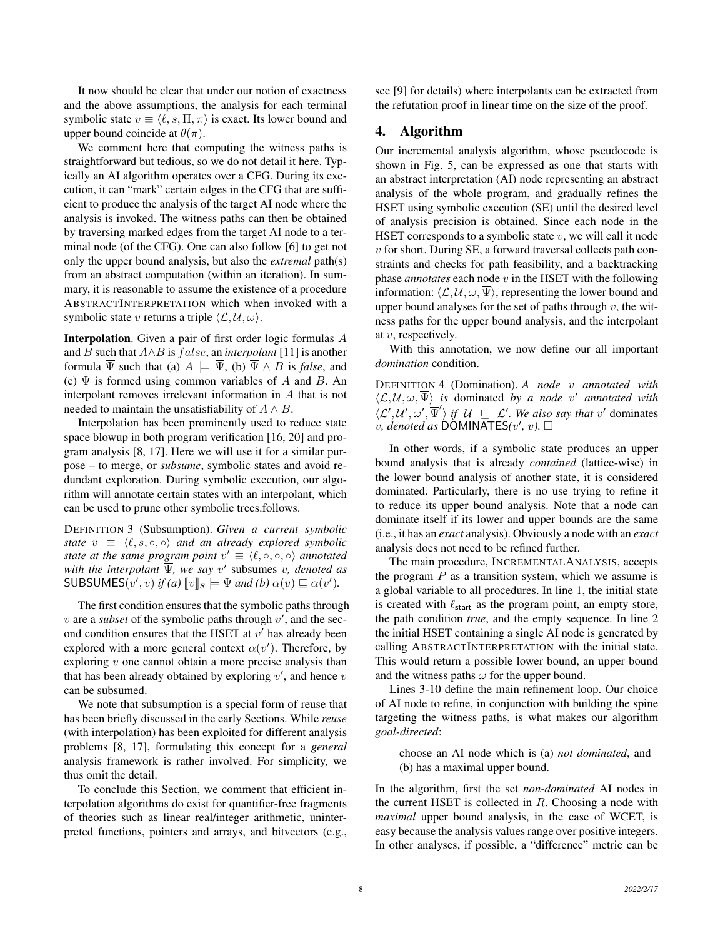It now should be clear that under our notion of exactness and the above assumptions, the analysis for each terminal symbolic state  $v \equiv \langle \ell, s, \Pi, \pi \rangle$  is exact. Its lower bound and upper bound coincide at  $\theta(\pi)$ .

We comment here that computing the witness paths is straightforward but tedious, so we do not detail it here. Typically an AI algorithm operates over a CFG. During its execution, it can "mark" certain edges in the CFG that are sufficient to produce the analysis of the target AI node where the analysis is invoked. The witness paths can then be obtained by traversing marked edges from the target AI node to a terminal node (of the CFG). One can also follow [6] to get not only the upper bound analysis, but also the *extremal* path(s) from an abstract computation (within an iteration). In summary, it is reasonable to assume the existence of a procedure ABSTRACTINTERPRETATION which when invoked with a symbolic state v returns a triple  $\langle \mathcal{L}, \mathcal{U}, \omega \rangle$ .

Interpolation. Given a pair of first order logic formulas A and B such that A∧B is f alse, an *interpolant* [11] is another formula  $\overline{\Psi}$  such that (a)  $A \models \overline{\Psi}$ , (b)  $\overline{\Psi} \wedge B$  is *false*, and (c)  $\overline{\Psi}$  is formed using common variables of A and B. An interpolant removes irrelevant information in A that is not needed to maintain the unsatisfiability of  $A \wedge B$ .

Interpolation has been prominently used to reduce state space blowup in both program verification [16, 20] and program analysis [8, 17]. Here we will use it for a similar purpose – to merge, or *subsume*, symbolic states and avoid redundant exploration. During symbolic execution, our algorithm will annotate certain states with an interpolant, which can be used to prune other symbolic trees.follows.

DEFINITION 3 (Subsumption). *Given a current symbolic state*  $v \equiv \langle \ell, s, \circ, \circ \rangle$  *and an already explored symbolic state at the same program point*  $v' \equiv \langle \ell, \circ, \circ, \circ \rangle$  *annotated* with the interpolant  $\overline{\Psi}$ , we say v' subsumes v, denoted as SUBSUMES $(v', v)$  *if (a)*  $[ v ]_s \models \overline{\Psi}$  *and (b)*  $\alpha(v) \sqsubseteq \alpha(v')$ *.* 

The first condition ensures that the symbolic paths through  $v$  are a *subset* of the symbolic paths through  $v'$ , and the second condition ensures that the HSET at  $v'$  has already been explored with a more general context  $\alpha(v')$ . Therefore, by exploring  $v$  one cannot obtain a more precise analysis than that has been already obtained by exploring  $v'$ , and hence  $v$ can be subsumed.

We note that subsumption is a special form of reuse that has been briefly discussed in the early Sections. While *reuse* (with interpolation) has been exploited for different analysis problems [8, 17], formulating this concept for a *general* analysis framework is rather involved. For simplicity, we thus omit the detail.

To conclude this Section, we comment that efficient interpolation algorithms do exist for quantifier-free fragments of theories such as linear real/integer arithmetic, uninterpreted functions, pointers and arrays, and bitvectors (e.g., see [9] for details) where interpolants can be extracted from the refutation proof in linear time on the size of the proof.

#### 4. Algorithm

Our incremental analysis algorithm, whose pseudocode is shown in Fig. 5, can be expressed as one that starts with an abstract interpretation (AI) node representing an abstract analysis of the whole program, and gradually refines the HSET using symbolic execution (SE) until the desired level of analysis precision is obtained. Since each node in the HSET corresponds to a symbolic state  $v$ , we will call it node  $v$  for short. During SE, a forward traversal collects path constraints and checks for path feasibility, and a backtracking phase *annotates* each node v in the HSET with the following information:  $\langle \mathcal{L}, \mathcal{U}, \omega, \overline{\Psi} \rangle$ , representing the lower bound and upper bound analyses for the set of paths through  $v$ , the witness paths for the upper bound analysis, and the interpolant at v, respectively.

With this annotation, we now define our all important *domination* condition.

DEFINITION 4 (Domination). *A node* v *annotated with*  $\langle \mathcal{L}, \mathcal{U}, \omega, \overline{\Psi} \rangle$  is dominated by a node v' annotated with  $\langle \mathcal{L}', \mathcal{U}', \omega', \overline{\Psi}' \rangle$  if  $\mathcal{U} \subseteq \mathcal{L}'$ . We also say that v' dominates  $\hat{v}$ , denoted as DOMINATES $(v', v)$ .

In other words, if a symbolic state produces an upper bound analysis that is already *contained* (lattice-wise) in the lower bound analysis of another state, it is considered dominated. Particularly, there is no use trying to refine it to reduce its upper bound analysis. Note that a node can dominate itself if its lower and upper bounds are the same (i.e., it has an *exact* analysis). Obviously a node with an *exact* analysis does not need to be refined further.

The main procedure, INCREMENTALANALYSIS, accepts the program  $P$  as a transition system, which we assume is a global variable to all procedures. In line 1, the initial state is created with  $\ell_{start}$  as the program point, an empty store, the path condition *true*, and the empty sequence. In line 2 the initial HSET containing a single AI node is generated by calling ABSTRACTINTERPRETATION with the initial state. This would return a possible lower bound, an upper bound and the witness paths  $\omega$  for the upper bound.

Lines 3-10 define the main refinement loop. Our choice of AI node to refine, in conjunction with building the spine targeting the witness paths, is what makes our algorithm *goal-directed*:

choose an AI node which is (a) *not dominated*, and (b) has a maximal upper bound.

In the algorithm, first the set *non-dominated* AI nodes in the current HSET is collected in  $R$ . Choosing a node with *maximal* upper bound analysis, in the case of WCET, is easy because the analysis values range over positive integers. In other analyses, if possible, a "difference" metric can be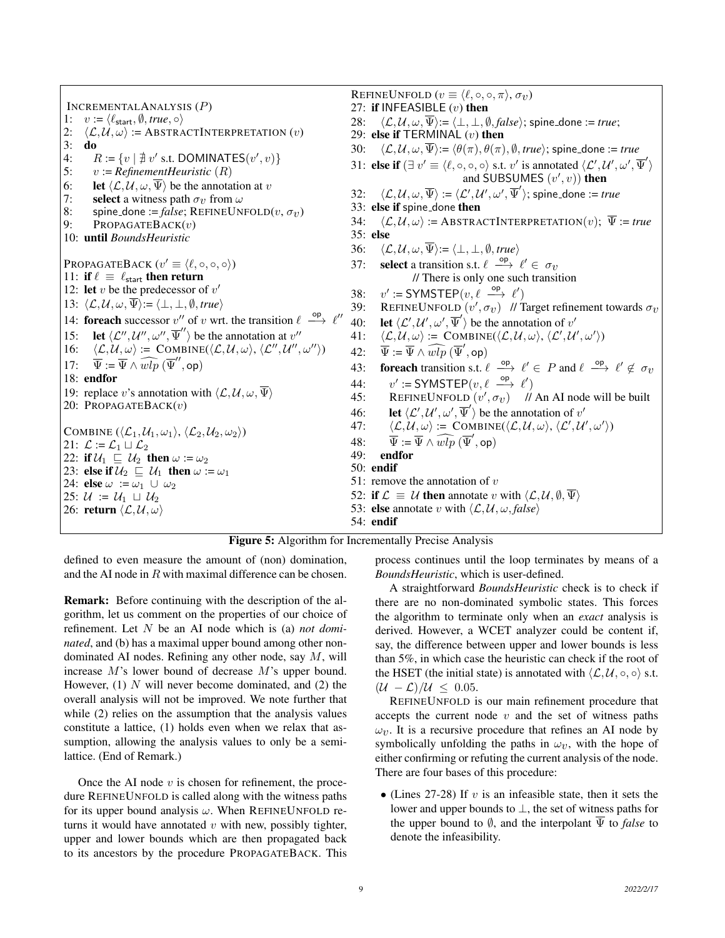INCREMENTALANALYSIS (P) 1:  $v := \langle \ell_{\text{start}}, \emptyset, \text{true}, \circ \rangle$ <br>2:  $\langle \mathcal{L}, \mathcal{U}, \omega \rangle := \text{ABSTRA}$  $\langle \mathcal{L}, \mathcal{U}, \omega \rangle$  := ABSTRACTINTERPRETATION  $(v)$ 3: do 4:  $R := \{v \mid \text{$\nexists$} \ v' \text{ s.t. } \text{DOMINATES}(v', v)\}$ 5: v := *RefinementHeuristic* (R) 6: **let**  $\langle \mathcal{L}, \mathcal{U}, \omega, \overline{\Psi} \rangle$  be the annotation at v 7: **select** a witness path  $\sigma_v$  from  $\omega$ 8: spine\_done := *false*; REFINEUNFOLD $(v, \sigma_v)$ <br>9: PROPAGATEBACK $(v)$  $PROPAGATEBACK(v)$ 10: until *BoundsHeuristic* PROPAGATEBACK  $(v' \equiv \langle \ell, \circ, \circ, \circ \rangle)$ 11: if  $\ell \equiv \ell_{\text{start}}$  then return 12: let  $v$  be the predecessor of  $v'$ 13:  $\langle \mathcal{L}, \mathcal{U}, \omega, \overline{\Psi} \rangle := \langle \bot, \bot, \emptyset, \text{true} \rangle$ 14: **foreach** successor v'' of v wrt. the transition  $\ell \stackrel{\text{op}}{\longrightarrow} \ell''$ 15: **let**  $\langle \mathcal{L}^{\prime\prime}, \mathcal{U}^{\prime\prime}, \omega^{\prime\prime}, \overline{\Psi}^{\prime\prime} \rangle$  be the annotation at  $v^{\prime\prime}$ 16:  $\langle \mathcal{L}, \mathcal{U}, \omega \rangle := \text{COMBINE}(\langle \mathcal{L}, \mathcal{U}, \omega \rangle, \langle \mathcal{L}^{\prime\prime}, \mathcal{U}^{\prime\prime}, \omega^{\prime\prime} \rangle)$ 17:  $\overline{\Psi} := \overline{\Psi} \wedge \widehat{wlp} (\overline{\Psi}'', \mathsf{op})$ 18: endfor 19: replace v's annotation with  $\langle \mathcal{L}, \mathcal{U}, \omega, \overline{\Psi} \rangle$ 20: PROPAGATEBACK $(v)$ COMBINE  $(\langle \mathcal{L}_1, \mathcal{U}_1, \omega_1 \rangle, \langle \mathcal{L}_2, \mathcal{U}_2, \omega_2 \rangle)$ 21:  $\mathcal{L} := \mathcal{L}_1 \sqcup \mathcal{L}_2$ 22: if  $U_1 \sqsubseteq U_2$  then  $\omega := \omega_2$ 23: else if  $U_2 \sqsubseteq U_1$  then  $\omega := \omega_1$ 24: else  $\omega := \omega_1 \cup \omega_2$ 25:  $U := U_1 \sqcup U_2$ 26: return  $\langle \mathcal{L}, \mathcal{U}, \omega \rangle$ REFINEUNFOLD  $(v \equiv \langle \ell, \circ, \circ, \pi \rangle, \sigma_v)$ 27: if INFEASIBLE  $(v)$  then 28:  $\langle \mathcal{L}, \mathcal{U}, \omega, \overline{\Psi} \rangle := \langle \bot, \bot, \emptyset, \text{false} \rangle$ ; spine done := *true*; 29: else if TERMINAL  $(v)$  then 30:  $\langle \mathcal{L}, \mathcal{U}, \omega, \overline{\Psi} \rangle := \langle \theta(\pi), \theta(\pi), \emptyset, \text{true} \rangle$ ; spine done := *true* 31: else if  $(\exists v' \equiv \langle \ell, \circ, \circ, \circ \rangle \text{ s.t. } v' \text{ is annotated } \langle \mathcal{L}', \mathcal{U}', \omega', \overline{\Psi}' \rangle$ and SUBSUMES  $(v', v)$  then 32:  $\langle \mathcal{L}, \mathcal{U}, \omega, \overline{\Psi} \rangle := \langle \mathcal{L}', \mathcal{U}', \omega', \overline{\Psi}' \rangle$ ; spine\_done := *true* 33: else if spine done then 34:  $\langle \mathcal{L}, \mathcal{U}, \omega \rangle$  := ABSTRACTINTERPRETATION(v);  $\overline{\Psi}$  := *true* 35: else 36:  $\langle \mathcal{L}, \mathcal{U}, \omega, \overline{\Psi} \rangle := \langle \bot, \bot, \emptyset, \text{true} \rangle$ 37: **select** a transition s.t.  $\ell \stackrel{\mathsf{op}}{\longrightarrow} \ell' \in \sigma_v$ // There is only one such transition  $38:$  $\ell := \text{SYMSTEP}(v, \ell \stackrel{\text{op}}{\longrightarrow} \ell')$ 39: REFINEUNFOLD  $(v', \sigma_v)$  // Target refinement towards  $\sigma_v$ 40: let  $\langle \mathcal{L}', \mathcal{U}', \omega', \overline{\Psi}' \rangle$  be the annotation of  $v'$ 41:  $\langle \mathcal{L}, \mathcal{U}, \omega \rangle \coloneqq \text{COMBINE}(\langle \mathcal{L}, \mathcal{U}, \omega \rangle, \langle \mathcal{L}', \mathcal{U}', \omega' \rangle)$ 42:  $\overline{\Psi} := \overline{\Psi} \wedge \widehat{wlp} (\overline{\Psi}', \mathsf{op})$ 43: **foreach** transition s.t.  $\ell \stackrel{\text{op}}{\longrightarrow} \ell' \in P$  and  $\ell \stackrel{\text{op}}{\longrightarrow} \ell' \notin \sigma_v$  $44:$  $\ell := \text{SYMSTEP}(v, \ell \stackrel{\text{op}}{\longrightarrow} \ell')$ 45: REFINEUNFOLD  $(v', \sigma_v)$  // An AI node will be built 46: Let  $\langle \mathcal{L}', \mathcal{U}', \omega', \overline{\Psi}' \rangle$  be the annotation of  $v'$ 47:  $\langle \mathcal{L}, \mathcal{U}, \omega \rangle := \text{COMBINE}(\langle \mathcal{L}, \mathcal{U}, \omega \rangle, \langle \mathcal{L}', \mathcal{U}', \omega' \rangle)$ 48:  $\overline{\Psi} := \overline{\Psi} \wedge \widehat{wlp} (\overline{\Psi}', \mathsf{op})$ 49: endfor 50: endif 51: remove the annotation of  $v$ 52: if  $\mathcal{L} \equiv \mathcal{U}$  then annotate v with  $\langle \mathcal{L}, \mathcal{U}, \emptyset, \overline{\Psi} \rangle$ 53: **else** annotate v with  $\langle \mathcal{L}, \mathcal{U}, \omega, \text{false} \rangle$ 54: endif

|  |  |  | Figure 5: Algorithm for Incrementally Precise Analysis |  |  |
|--|--|--|--------------------------------------------------------|--|--|
|--|--|--|--------------------------------------------------------|--|--|

defined to even measure the amount of (non) domination, and the AI node in  $R$  with maximal difference can be chosen.

Remark: Before continuing with the description of the algorithm, let us comment on the properties of our choice of refinement. Let N be an AI node which is (a) *not dominated*, and (b) has a maximal upper bound among other nondominated AI nodes. Refining any other node, say M, will increase M's lower bound of decrease M's upper bound. However,  $(1)$  N will never become dominated, and  $(2)$  the overall analysis will not be improved. We note further that while (2) relies on the assumption that the analysis values constitute a lattice, (1) holds even when we relax that assumption, allowing the analysis values to only be a semilattice. (End of Remark.)

Once the AI node  $v$  is chosen for refinement, the procedure REFINEUNFOLD is called along with the witness paths for its upper bound analysis  $\omega$ . When REFINEUNFOLD returns it would have annotated  $v$  with new, possibly tighter, upper and lower bounds which are then propagated back to its ancestors by the procedure PROPAGATEBACK. This process continues until the loop terminates by means of a *BoundsHeuristic*, which is user-defined.

A straightforward *BoundsHeuristic* check is to check if there are no non-dominated symbolic states. This forces the algorithm to terminate only when an *exact* analysis is derived. However, a WCET analyzer could be content if, say, the difference between upper and lower bounds is less than 5%, in which case the heuristic can check if the root of the HSET (the initial state) is annotated with  $\langle \mathcal{L}, \mathcal{U}, \circ, \circ \rangle$  s.t.  $(\mathcal{U} - \mathcal{L})/\mathcal{U} \leq 0.05$ .

REFINEUNFOLD is our main refinement procedure that accepts the current node  $v$  and the set of witness paths  $\omega_v$ . It is a recursive procedure that refines an AI node by symbolically unfolding the paths in  $\omega_{\nu}$ , with the hope of either confirming or refuting the current analysis of the node. There are four bases of this procedure:

• (Lines 27-28) If  $v$  is an infeasible state, then it sets the lower and upper bounds to ⊥, the set of witness paths for the upper bound to  $\emptyset$ , and the interpolant  $\overline{\Psi}$  to *false* to denote the infeasibility.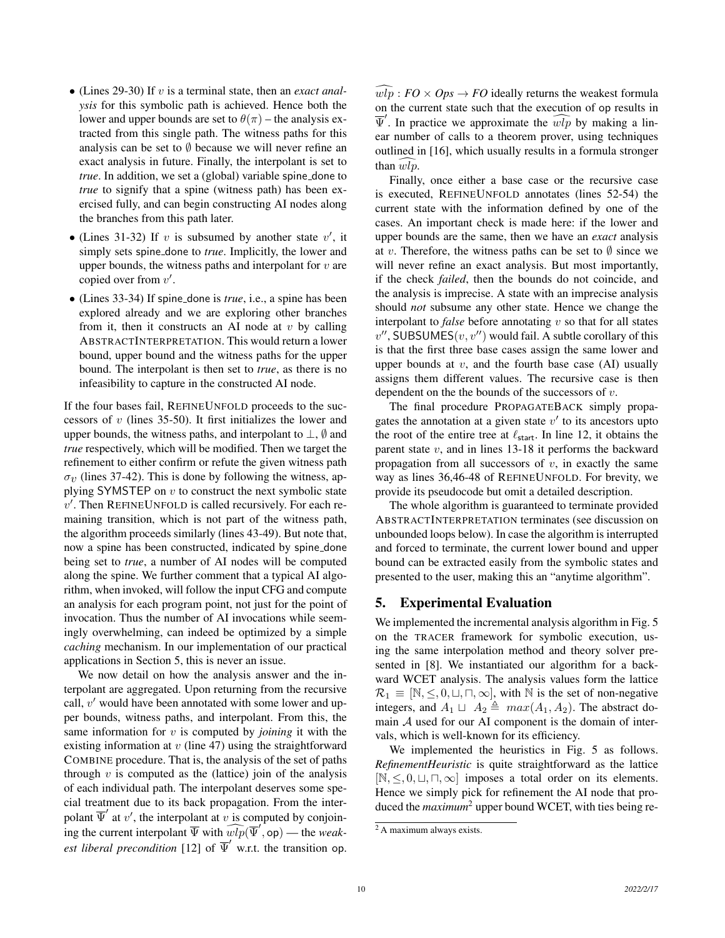- (Lines 29-30) If v is a terminal state, then an *exact analysis* for this symbolic path is achieved. Hence both the lower and upper bounds are set to  $\theta(\pi)$  – the analysis extracted from this single path. The witness paths for this analysis can be set to  $\emptyset$  because we will never refine an exact analysis in future. Finally, the interpolant is set to *true*. In addition, we set a (global) variable spine done to *true* to signify that a spine (witness path) has been exercised fully, and can begin constructing AI nodes along the branches from this path later.
- (Lines 31-32) If  $v$  is subsumed by another state  $v'$ , it simply sets spine done to *true*. Implicitly, the lower and upper bounds, the witness paths and interpolant for  $v$  are copied over from  $v'$ .
- (Lines 33-34) If spine done is *true*, i.e., a spine has been explored already and we are exploring other branches from it, then it constructs an AI node at  $v$  by calling ABSTRACTINTERPRETATION. This would return a lower bound, upper bound and the witness paths for the upper bound. The interpolant is then set to *true*, as there is no infeasibility to capture in the constructed AI node.

If the four bases fail, REFINEUNFOLD proceeds to the successors of  $v$  (lines 35-50). It first initializes the lower and upper bounds, the witness paths, and interpolant to  $\perp$ ,  $\emptyset$  and *true* respectively, which will be modified. Then we target the refinement to either confirm or refute the given witness path  $\sigma_{\nu}$  (lines 37-42). This is done by following the witness, applying SYMSTEP on  $v$  to construct the next symbolic state  $v'$ . Then REFINEUNFOLD is called recursively. For each remaining transition, which is not part of the witness path, the algorithm proceeds similarly (lines 43-49). But note that, now a spine has been constructed, indicated by spine done being set to *true*, a number of AI nodes will be computed along the spine. We further comment that a typical AI algorithm, when invoked, will follow the input CFG and compute an analysis for each program point, not just for the point of invocation. Thus the number of AI invocations while seemingly overwhelming, can indeed be optimized by a simple *caching* mechanism. In our implementation of our practical applications in Section 5, this is never an issue.

We now detail on how the analysis answer and the interpolant are aggregated. Upon returning from the recursive call,  $v'$  would have been annotated with some lower and upper bounds, witness paths, and interpolant. From this, the same information for v is computed by *joining* it with the existing information at  $v$  (line 47) using the straightforward COMBINE procedure. That is, the analysis of the set of paths through  $v$  is computed as the (lattice) join of the analysis of each individual path. The interpolant deserves some special treatment due to its back propagation. From the interpolant  $\overline{\Psi}'$  at v', the interpolant at v is computed by conjoining the current interpolant  $\overline{\Psi}$  with  $\widehat{wlp}(\overline{\Psi}', op)$  — the *weakest liberal precondition* [12] of  $\overline{\Psi}'$  w.r.t. the transition op.

 $\widehat{wlp}: FO \times Obs \rightarrow FO$  ideally returns the weakest formula on the current state such that the execution of op results in  $\overline{\Psi}'$ . In practice we approximate the  $\widehat{wlp}$  by making a linear number of calls to a theorem prover, using techniques outlined in [16], which usually results in a formula stronger than  $wlv$ .

Finally, once either a base case or the recursive case is executed, REFINEUNFOLD annotates (lines 52-54) the current state with the information defined by one of the cases. An important check is made here: if the lower and upper bounds are the same, then we have an *exact* analysis at v. Therefore, the witness paths can be set to  $\emptyset$  since we will never refine an exact analysis. But most importantly, if the check *failed*, then the bounds do not coincide, and the analysis is imprecise. A state with an imprecise analysis should *not* subsume any other state. Hence we change the interpolant to *false* before annotating  $v$  so that for all states  $v''$ , SUBSUMES $(v, v'')$  would fail. A subtle corollary of this is that the first three base cases assign the same lower and upper bounds at  $v$ , and the fourth base case (AI) usually assigns them different values. The recursive case is then dependent on the the bounds of the successors of  $v$ .

The final procedure PROPAGATEBACK simply propagates the annotation at a given state  $v'$  to its ancestors upto the root of the entire tree at  $\ell_{\text{start}}$ . In line 12, it obtains the parent state v, and in lines 13-18 it performs the backward propagation from all successors of  $v$ , in exactly the same way as lines 36,46-48 of REFINEUNFOLD. For brevity, we provide its pseudocode but omit a detailed description.

The whole algorithm is guaranteed to terminate provided ABSTRACTINTERPRETATION terminates (see discussion on unbounded loops below). In case the algorithm is interrupted and forced to terminate, the current lower bound and upper bound can be extracted easily from the symbolic states and presented to the user, making this an "anytime algorithm".

## 5. Experimental Evaluation

We implemented the incremental analysis algorithm in Fig. 5 on the TRACER framework for symbolic execution, using the same interpolation method and theory solver presented in [8]. We instantiated our algorithm for a backward WCET analysis. The analysis values form the lattice  $\mathcal{R}_1 \equiv [\mathbb{N}, \leq, 0, \sqcup, \sqcap, \infty]$ , with  $\mathbb N$  is the set of non-negative integers, and  $A_1 \sqcup A_2 \triangleq max(A_1, A_2)$ . The abstract domain A used for our AI component is the domain of intervals, which is well-known for its efficiency.

We implemented the heuristics in Fig. 5 as follows. *RefinementHeuristic* is quite straightforward as the lattice  $[N, \leq, 0, \sqcup, \sqcap, \infty]$  imposes a total order on its elements. Hence we simply pick for refinement the AI node that produced the *maximum*<sup>2</sup> upper bound WCET, with ties being re-

 $\sqrt[2]{2A}$  maximum always exists.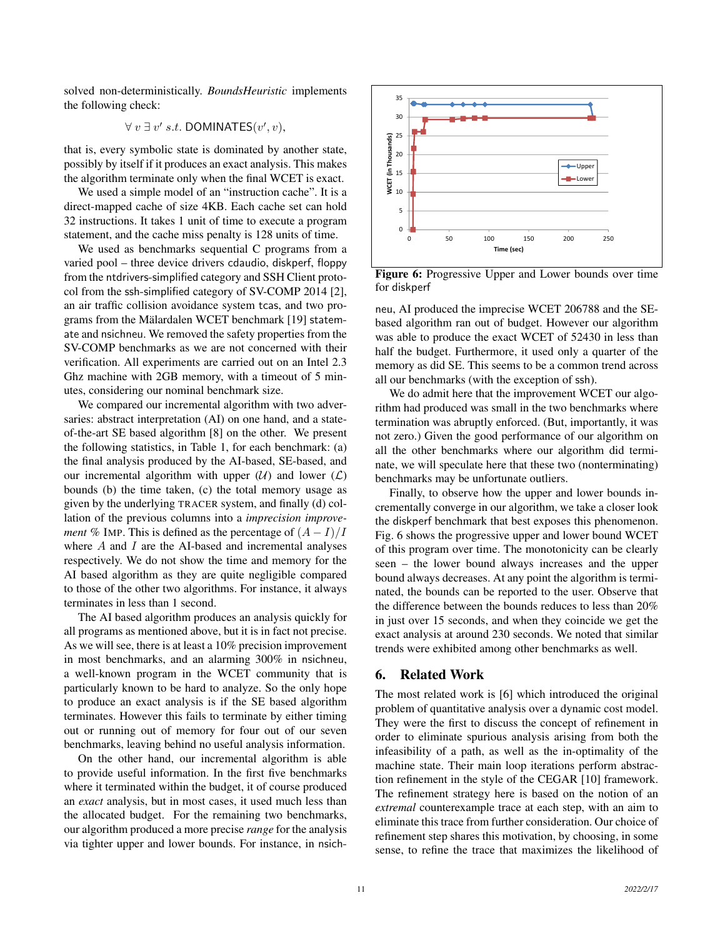solved non-deterministically. *BoundsHeuristic* implements the following check:

$$
\forall v \exists v' s.t. \text{DOMINATES}(v', v),
$$

that is, every symbolic state is dominated by another state, possibly by itself if it produces an exact analysis. This makes the algorithm terminate only when the final WCET is exact.

We used a simple model of an "instruction cache". It is a direct-mapped cache of size 4KB. Each cache set can hold 32 instructions. It takes 1 unit of time to execute a program statement, and the cache miss penalty is 128 units of time.

We used as benchmarks sequential C programs from a varied pool – three device drivers cdaudio, diskperf, floppy from the ntdrivers-simplified category and SSH Client protocol from the ssh-simplified category of SV-COMP 2014 [2], an air traffic collision avoidance system tcas, and two programs from the Mälardalen WCET benchmark [19] statemate and nsichneu. We removed the safety properties from the SV-COMP benchmarks as we are not concerned with their verification. All experiments are carried out on an Intel 2.3 Ghz machine with 2GB memory, with a timeout of 5 minutes, considering our nominal benchmark size.

We compared our incremental algorithm with two adversaries: abstract interpretation (AI) on one hand, and a stateof-the-art SE based algorithm [8] on the other. We present the following statistics, in Table 1, for each benchmark: (a) the final analysis produced by the AI-based, SE-based, and our incremental algorithm with upper  $(U)$  and lower  $(L)$ bounds (b) the time taken, (c) the total memory usage as given by the underlying TRACER system, and finally (d) collation of the previous columns into a *imprecision improvement* % IMP. This is defined as the percentage of  $(A - I)/I$ where  $A$  and  $I$  are the AI-based and incremental analyses respectively. We do not show the time and memory for the AI based algorithm as they are quite negligible compared to those of the other two algorithms. For instance, it always terminates in less than 1 second.

The AI based algorithm produces an analysis quickly for all programs as mentioned above, but it is in fact not precise. As we will see, there is at least a 10% precision improvement in most benchmarks, and an alarming 300% in nsichneu, a well-known program in the WCET community that is particularly known to be hard to analyze. So the only hope to produce an exact analysis is if the SE based algorithm terminates. However this fails to terminate by either timing out or running out of memory for four out of our seven benchmarks, leaving behind no useful analysis information.

On the other hand, our incremental algorithm is able to provide useful information. In the first five benchmarks where it terminated within the budget, it of course produced an *exact* analysis, but in most cases, it used much less than the allocated budget. For the remaining two benchmarks, our algorithm produced a more precise *range* for the analysis via tighter upper and lower bounds. For instance, in nsich-



Figure 6: Progressive Upper and Lower bounds over time for diskperf

neu, AI produced the imprecise WCET 206788 and the SEbased algorithm ran out of budget. However our algorithm was able to produce the exact WCET of 52430 in less than half the budget. Furthermore, it used only a quarter of the memory as did SE. This seems to be a common trend across all our benchmarks (with the exception of ssh).

We do admit here that the improvement WCET our algorithm had produced was small in the two benchmarks where termination was abruptly enforced. (But, importantly, it was not zero.) Given the good performance of our algorithm on all the other benchmarks where our algorithm did terminate, we will speculate here that these two (nonterminating) benchmarks may be unfortunate outliers.

Finally, to observe how the upper and lower bounds incrementally converge in our algorithm, we take a closer look the diskperf benchmark that best exposes this phenomenon. Fig. 6 shows the progressive upper and lower bound WCET of this program over time. The monotonicity can be clearly seen – the lower bound always increases and the upper bound always decreases. At any point the algorithm is terminated, the bounds can be reported to the user. Observe that the difference between the bounds reduces to less than 20% in just over 15 seconds, and when they coincide we get the exact analysis at around 230 seconds. We noted that similar trends were exhibited among other benchmarks as well.

## 6. Related Work

The most related work is [6] which introduced the original problem of quantitative analysis over a dynamic cost model. They were the first to discuss the concept of refinement in order to eliminate spurious analysis arising from both the infeasibility of a path, as well as the in-optimality of the machine state. Their main loop iterations perform abstraction refinement in the style of the CEGAR [10] framework. The refinement strategy here is based on the notion of an *extremal* counterexample trace at each step, with an aim to eliminate this trace from further consideration. Our choice of refinement step shares this motivation, by choosing, in some sense, to refine the trace that maximizes the likelihood of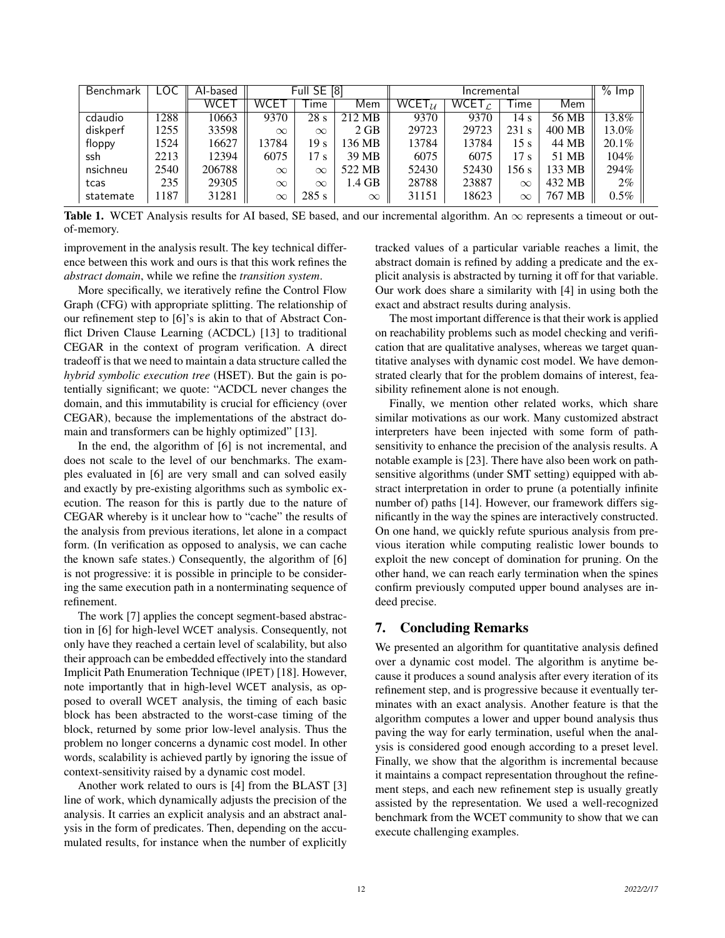| Benchmark | LOC  | Al-based | <b>Full SE [8]</b> |          | Incremental |                       |                 |          | $%$ lmp |          |
|-----------|------|----------|--------------------|----------|-------------|-----------------------|-----------------|----------|---------|----------|
|           |      | WCET     | WCET               | Гіmе     | Mem         | WCET $_{\mathcal{U}}$ | WCET $\epsilon$ | Гіmе     | Mem     |          |
| cdaudio   | 1288 | 10663    | 9370               | 28s      | 212 MB      | 9370                  | 9370            | 14 s     | 56 MB   | 13.8%    |
| diskperf  | 1255 | 33598    | $\infty$           | $\infty$ | $2$ GB      | 29723                 | 29723           | 231 s    | 400 MB  | 13.0%    |
| floppy    | 1524 | 16627    | 13784              | 19 s     | 136 MB      | 13784                 | 13784           | 15 s     | 44 MB   | $20.1\%$ |
| ssh       | 2213 | 12394    | 6075               | 17 s     | 39 MB       | 6075                  | 6075            | 17 s     | 51 MB   | 104%     |
| nsichneu  | 2540 | 206788   | $\infty$           | $\infty$ | 522 MB      | 52430                 | 52430           | 156 s    | 133 MB  | 294%     |
| tcas      | 235  | 29305    | $\infty$           | $\infty$ | 1.4 GB      | 28788                 | 23887           | $\infty$ | 432 MB  | $2\%$    |
| statemate | 1187 | 31281    | $\infty$           | 285 s    | $\infty$    | 31151                 | 18623           | $\infty$ | 767 MB  | $0.5\%$  |

Table 1. WCET Analysis results for AI based, SE based, and our incremental algorithm. An  $\infty$  represents a timeout or outof-memory.

improvement in the analysis result. The key technical difference between this work and ours is that this work refines the *abstract domain*, while we refine the *transition system*.

More specifically, we iteratively refine the Control Flow Graph (CFG) with appropriate splitting. The relationship of our refinement step to [6]'s is akin to that of Abstract Conflict Driven Clause Learning (ACDCL) [13] to traditional CEGAR in the context of program verification. A direct tradeoff is that we need to maintain a data structure called the *hybrid symbolic execution tree* (HSET). But the gain is potentially significant; we quote: "ACDCL never changes the domain, and this immutability is crucial for efficiency (over CEGAR), because the implementations of the abstract domain and transformers can be highly optimized" [13].

In the end, the algorithm of [6] is not incremental, and does not scale to the level of our benchmarks. The examples evaluated in [6] are very small and can solved easily and exactly by pre-existing algorithms such as symbolic execution. The reason for this is partly due to the nature of CEGAR whereby is it unclear how to "cache" the results of the analysis from previous iterations, let alone in a compact form. (In verification as opposed to analysis, we can cache the known safe states.) Consequently, the algorithm of [6] is not progressive: it is possible in principle to be considering the same execution path in a nonterminating sequence of refinement.

The work [7] applies the concept segment-based abstraction in [6] for high-level WCET analysis. Consequently, not only have they reached a certain level of scalability, but also their approach can be embedded effectively into the standard Implicit Path Enumeration Technique (IPET) [18]. However, note importantly that in high-level WCET analysis, as opposed to overall WCET analysis, the timing of each basic block has been abstracted to the worst-case timing of the block, returned by some prior low-level analysis. Thus the problem no longer concerns a dynamic cost model. In other words, scalability is achieved partly by ignoring the issue of context-sensitivity raised by a dynamic cost model.

Another work related to ours is [4] from the BLAST [3] line of work, which dynamically adjusts the precision of the analysis. It carries an explicit analysis and an abstract analysis in the form of predicates. Then, depending on the accumulated results, for instance when the number of explicitly tracked values of a particular variable reaches a limit, the abstract domain is refined by adding a predicate and the explicit analysis is abstracted by turning it off for that variable. Our work does share a similarity with [4] in using both the exact and abstract results during analysis.

The most important difference is that their work is applied on reachability problems such as model checking and verification that are qualitative analyses, whereas we target quantitative analyses with dynamic cost model. We have demonstrated clearly that for the problem domains of interest, feasibility refinement alone is not enough.

Finally, we mention other related works, which share similar motivations as our work. Many customized abstract interpreters have been injected with some form of pathsensitivity to enhance the precision of the analysis results. A notable example is [23]. There have also been work on pathsensitive algorithms (under SMT setting) equipped with abstract interpretation in order to prune (a potentially infinite number of) paths [14]. However, our framework differs significantly in the way the spines are interactively constructed. On one hand, we quickly refute spurious analysis from previous iteration while computing realistic lower bounds to exploit the new concept of domination for pruning. On the other hand, we can reach early termination when the spines confirm previously computed upper bound analyses are indeed precise.

## 7. Concluding Remarks

We presented an algorithm for quantitative analysis defined over a dynamic cost model. The algorithm is anytime because it produces a sound analysis after every iteration of its refinement step, and is progressive because it eventually terminates with an exact analysis. Another feature is that the algorithm computes a lower and upper bound analysis thus paving the way for early termination, useful when the analysis is considered good enough according to a preset level. Finally, we show that the algorithm is incremental because it maintains a compact representation throughout the refinement steps, and each new refinement step is usually greatly assisted by the representation. We used a well-recognized benchmark from the WCET community to show that we can execute challenging examples.